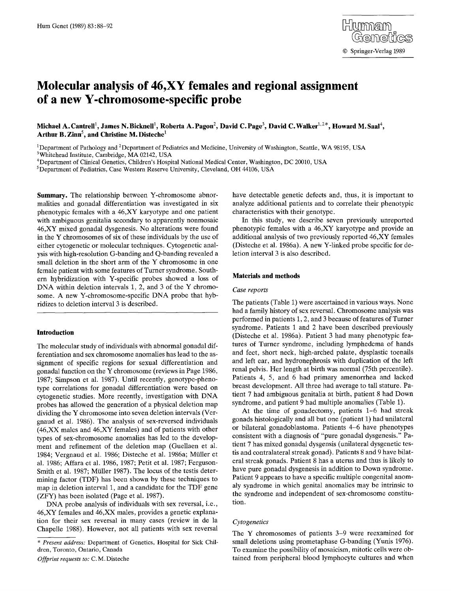# **Molecular analysis of 46,XY females and regional assignment of a new Y-chromosome-specific probe**

Michael A. Cantrell<sup>1</sup>. James N. Bicknell<sup>1</sup>. Roberta A. Pagon<sup>2</sup>. David C. Page<sup>3</sup>. David C. Walker<sup>1,2\*</sup>. Howard M. Saal<sup>4</sup>. Arthur B. Zinn<sup>5</sup>, and Christine M. Disteche<sup>1</sup>

<sup>1</sup>Department of Pathology and <sup>2</sup>Department of Pediatrics and Medicine, University of Washington, Seattle, WA 98195, USA 3Whitehead Institute, Cambridge, MA 02142, USA

4Department of Clinical Genetics, Children's Hospital National Medical Center, Washington, DC 20010, USA

<sup>5</sup>Department of Pediatrics, Case Western Reserve University, Cleveland, OH 44106, USA

**Summary.** The relationship between Y-chromosome abnormalities and gonadal differentiation was investigated in six phenotypic females with a 46,XY karyotype and one patient with ambiguous genitalia secondary to apparently nonmosaic 46,XY mixed gonadal dysgenesis. No alterations were found in the Y chromosomes of six of these individuals by the use of either cytogenetic or molecular techniques. Cytogenetic analysis with high-resolution G-banding and Q-banding revealed a small deletion in the short arm of the Y chromosome in one female patient with some features of Turner syndrome. Southern hybridization with Y-specific probes showed a loss of DNA within deletion intervals 1, 2, and 3 of the Y chromosome. A new Y-chromosome-specific DNA probe that hybridizes to deletion interval 3 is described.

# **Introduction**

The molecular study of individuals with abnormal gonadal differentiation and sex chromosome anomalies has lead to the assignment of specific regions for sexual differentiation and gonadal function on the Y chromosome (reviews in Page 1986, 1987; Simpson et al. 1987). Until recently, genotype-phenotype correlations for gonadal differentiation were based on cytogenetic studies. More recently, investigation with DNA probes has allowed the generation of a physical deletion map dividing the Y chromosome into seven deletion intervals (Vergnaud et al. 1986). The analysis of sex-reversed individuals (46,XX males and 46,XY females) and of patients with other types of sex-chromosome anomalies has led to the development and refinement of the deletion map (Guellaen et al. 1984; Vergnaud et al. 1986; Disteche et al. 1986a; Müller et al. 1986; Affara et al. 1986, 1987; Petit et al. 1987; Ferguson-Smith et al. 1987; Müller 1987). The locus of the testis determining factor (TDF) has been shown by these techniques to map in deletion interval 1, and a candidate for the TDF gene (ZFY) has been isolated (Page et al. 1987).

DNA probe analysis of individuals with sex reversal, i.e., 46,XY females and 46,XX males, provides a genetic explanation for their sex reversal in many cases (review in de la Chapelle 1988). However, not all patients with sex reversal

*Offprint requests to:* C. M. Disteche

have detectable genetic defects and, thus, it is important to analyze additional patients and to correlate their phenotypic characteristics with their genotype.

In this study, we describe seven previously unreported phenotypic females with a 46,XY karyotype and provide an additional analysis of two previously reported 46,XY females (Disteche et al. 1986a). A new Y-linked probe specific for deletion interval 3 is also described.

## **Materials and methods**

# *Case reports*

The patients (Table 1) were ascertained in various ways. None had a family history of sex reversal. Chromosome analysis was performed in patients 1, 2, and 3 because of features of Turner syndrome. Patients 1 and 2 have been described previously (Disteche et al. 1986a). Patient 3 had many phenotypic features of Turner syndrome, including lymphedema of hands and feet, short neck, high-arched palate, dysplastic toenails and left ear, and hydronephrosis with duplication of the left renal pelvis. Her length at birth was normal (75th percentile). Patients 4, 5, and 6 had primary amenorrhea and lacked breast development. All three had average to tall stature. Patient 7 had ambiguous genitalia at birth, patient 8 had Down syndrome, and patient 9 had multiple anomalies (Table 1).

At the time of gonadectomy, patients 1-6 had streak gonads histologically and all but one (patient 1) had unilateral or bilateral gonadoblastoma. Patients 4-6 have phenotypes consistent with a diagnosis of "pure gonadal dysgenesis." Patient 7 has mixed gonadal dysgensis (unilateral dysgenetic testis and contralateral streak gonad). Patients 8 and 9 have bilateral streak gonads. Patient 8 has a uterus and thus is likely to have pure gonadal dysgenesis in addition to Down syndrome. Patient 9 appears to have a specific multiple congenital anomaly syndrome in which genital anomalies may be intrinsic to the syndrome and independent of sex-chromosome constitution.

## *Cytogenetics*

The Y chromosomes of patients 3-9 were reexamined for small deletions using prometaphase G-banding (Yunis 1976). To examine the possibility of mosaicism, mitotic cells were obtained from peripheral blood lymphocyte cultures and when

*<sup>\*</sup> Present address:* Department of Genetics, Hospital for Sick Children, Toronto, Ontario, Canada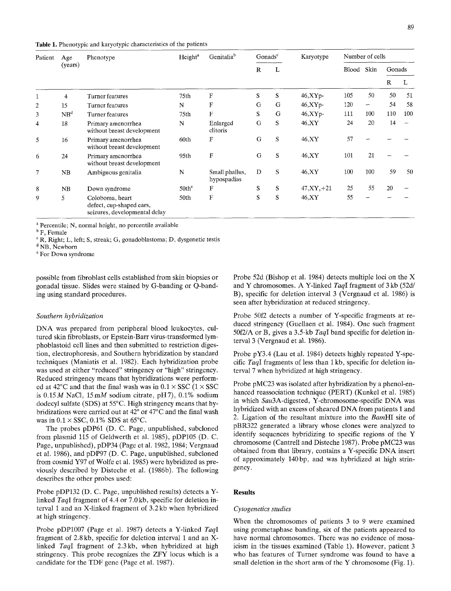|  |  |  |  | Table 1. Phenotypic and karyotypic characteristics of the patients |
|--|--|--|--|--------------------------------------------------------------------|
|--|--|--|--|--------------------------------------------------------------------|

| Patient        | Age             | Phenotype                                                                    | Height <sup>a</sup> | Genitalia <sup>b</sup>        | Gonads <sup>c</sup> |   | Karyotype     | Number of cells |      |        |     |
|----------------|-----------------|------------------------------------------------------------------------------|---------------------|-------------------------------|---------------------|---|---------------|-----------------|------|--------|-----|
|                | (years)         |                                                                              |                     |                               | R                   | L |               | Blood           | Skin | Gonads |     |
|                |                 |                                                                              |                     |                               |                     |   |               |                 |      | R      | L   |
|                | 4               | Turner features                                                              | 75th                | F                             | S                   | S | 46, XYp       | 105             | 50   | 50     | 51  |
| $\mathfrak{2}$ | 15              | Turner features                                                              | N                   | $\mathbf F$                   | G                   | G | $46, XYp-$    | 120             | -    | 54     | 58  |
| 3              | NB <sup>d</sup> | Turner features                                                              | 75th                | $\mathbf{F}$                  | S                   | G | $46, XYp-$    | 111             | 100  | 110    | 100 |
| 4              | 18              | Primary amenorrhea<br>without breast development                             | N                   | Enlarged<br>clitoris          | G                   | S | 46,XY         | 24              | 20   | 14     |     |
| 5              | 16              | Primary amenorrhea<br>without breast development                             | 60th                | F                             | G                   | S | 46, XY        | 57              |      |        |     |
| 6              | 24              | Primary amenorrhea<br>without breast development                             | 95th                | F                             | G                   | S | 46, XY        | 101             | 21   |        |     |
| $\tau$         | NB              | Ambiguous genitalia                                                          | N                   | Small phallus,<br>hypospadias | D                   | S | 46.XY         | 100             | 100  | 59     | 50  |
| 8              | NB              | Down syndrome                                                                | $50th^e$            | F                             | S                   | S | $47, XY, +21$ | 25              | 55   | 20     |     |
| 9              | 5               | Coloboma, heart<br>defect, cup-shaped ears,<br>seizures, developmental delay | 50th                | F                             | S                   | S | 46,XY         | 55              |      |        |     |

a Percentile; N, normal height, no percentile available

<sup>b</sup> F, Female

° R, Right; L, left; S, streak; G, gonadoblastoma; D, dysgenetic testis

<sup>d</sup> NB, Newborn

For Down syndrome

possible from fibroblast cells established from skin biopsies or gonadal tissue. Slides were stained by G-banding or Q-banding using standard procedures.

## *Southern hybridization*

DNA was prepared from peripheral blood leukocytes, cultured skin fibroblasts, or Epstein-Barr virus-transformed lymphoblastoid cell lines and then submitted to restriction digestion, electrophoresis, and Southern hybridization by standard techniques (Maniatis et al. 1982). Each hybridization probe was used at either "reduced" stringency or "high" stringency. Reduced stringency means that hybridizations were performed at 42°C and that the final wash was in  $0.1 \times$  SSC ( $1 \times$  SSC is  $0.15 M$  NaCl,  $15 mM$  sodium citrate, pH7),  $0.1\%$  sodium dodecyl sulfate (SDS) at 55°C. High stringency means that hybridizations were carried out at  $42^{\circ}$  or  $47^{\circ}$ C and the final wash was in  $0.1 \times$  SSC,  $0.1\%$  SDS at 65°C.

The probes pDP61 (D. C. Page, unpublished, subcloned from plasmid 115 of Geldwerth et al. 1985), pDP105 (D. C. Page, unpublished), pDP34 (Page et al. 1982, 1984; Vergnaud et al. 1986), and pDP97 (D. C. Page, unpublished, subcloned from cosmid Y97 of Wolfe et al. 1985) were hybridized as previously described by Disteche et al. (1986b). The following describes the other probes used:

Probe pDP132 (D. C. Page, unpublished results) detects a Ylinked *TaqI* fragment of 4.4 or 7.0 kb, specific for deletion interval 1 and an X-linked fragment of 3.2 kb when hybridized at high stringency.

Probe pDP1007 (Page et al. 1987) detects a Y-linked *TaqI*  fragment of 2.8kb, specific for deletion interval 1 and an Xlinked *TaqI* fragment of 2.3kb, when hybridized at high stringency. This probe recognizes the ZFY locus which is a candidate for the TDF gene (Page et al. 1987).

Probe 52d (Bishop et al. 1984) detects multiple loci on the X and Y chromosomes. A Y-linked *TaqI* fragment of 3 kb (52d/ B), specific for deletion interval 3 (Vergnaud et al. 1986) is seen after hybridization at reduced stringency,

Probe 50f2 detects a number of Y-specific fragments at reduced stringency (Guellaen et al. 1984). One such fragment 50f2/A or B, gives a 3.5-kb *TaqI* band specific for deletion interval 3 (Vergnaud et al. 1986).

Probe pY3.4 (Lau et al. 1984) detects highly repeated Y-specific *TaqI* fragments of less than 1 kb, specific for deletion interval 7 when hybridized at high stringency.

Probe pMC23 was isolated after hybridization by a phenol-enhanced reassociation technique (PERT) (Kunkel et al. 1985) in which *Sau3A-digested,* Y-chromosome-specific DNA was hybridized with an excess of sheared DNA from patients 1 and 2. Ligation of the resultant mixture into the *BamHI* site of pBR322 generated a library whose clones were analyzed to identify sequences hybridizing to specific regions of the Y chromosome (Cantrell and Disteche 1987). Probe pMC23 was obtained from that library, contains a Y-specific DNA insert of approximately 140bp, and was hybridized at high stringency.

#### **Results**

#### *Cytogenetics studies*

When the chromosomes of patients 3 to 9 were examined using prometaphase banding, six of the patients appeared to have normal chromosomes. There was no evidence of mosaicism in the tissues examined (Table 1). However, patient 3 who has features of Turner syndrome was found to have a small deletion in the short arm of the Y chromosome (Fig. 1).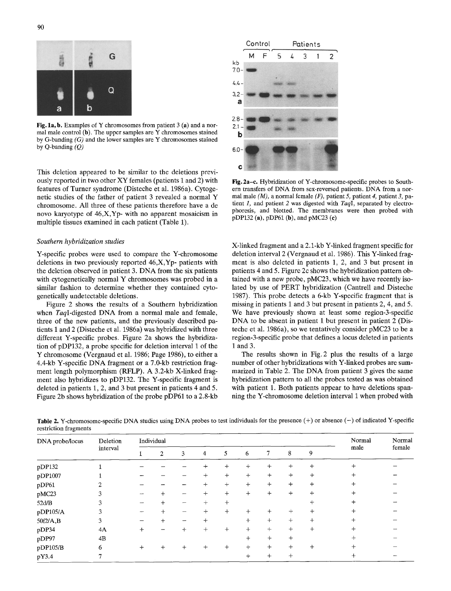Fig. 1a, b. Examples of Y chromosomes from patient  $3$  (a) and a normal male control  $(b)$ . The upper samples are Y chromosomes stained by G-banding *(G)* and the lower samples are Y chromosomes stained by Q-banding *(Q)* 

This deletion appeared to be similar to the deletions previously reported in two other XY females (patients I and 2) with features of Turner syndrome (Disteche et al. 1986a). Cytogenetic studies of the father of patient 3 revealed a normal Y chromosome. All three of these patients therefore have a de novo karyotype of 46,X,Yp- with no apparent mosaicism in multiple tissues examined in each patient (Table 1).

## *Southern hybridization studies*

Y-specific probes were used to compare the Y-chromosome deletions in two previously reported 46,X,Yp- patients with the deletion observed in patient 3. DNA from the six patients with cytogenetically normal Y chromosomes was probed in a similar fashion to determine whether they contained cytogenetically undetectable deletions.

Figure 2 shows the results of a Southern hybridization when *TaqI-digested* DNA from a normal male and female, three of the new patients, and the previously described patients 1 and 2 (Disteche et al. 1986a) was hybridized with three different Y-specific probes. Figure 2a shows the hybridization of pDP132, a probe specific for deletion interval 1 of the Y chromosome (Vergnaud et al. 1986; Page 1986), to either a 4.4-kb Y-specific DNA fragment or a 7.0-kb restriction fragment length polymorphism (RFLP). A 3.2-kb X-linked fragment also hybridizes to pDP132. The Y-specific fragment is deleted in patients 1, 2, and 3 but present in patients 4 and 5. Figure 2b shows hybridization of the probe pDP61 to a 2.8-kb



Pig. 2a-e. Hybridization of Y-chromosome-specific probes to Southern transfers of DNA from sex-reversed patients. DNA from a normal male *(M),* a normal female *(F),* patient 5, patient *4,* patient *3,* patient 1, and patient 2 was digested with *TaqI,* separated by electrophoresis, and blotted. The membranes were then probed with pDP132 (a), pDP61 (b), and pMC23 (e)

X-linked fragment and a 2.1-kb Y-linked fragment specific for deletion interval 2 (Vergnaud et al. 1986). This Y-linked fragment is also deleted in patients 1, 2, and 3 but present in patients 4 and 5. Figure 2c shows the hybridization pattern obtained with a new probe, pMC23, which we have recently isolated by use of PERT hybridization (Cantrell and Disteche 1987). This probe detects a 6-kb Y-specific fragment that is missing in patients 1 and 3 but present in patients 2, 4, and 5. We have previously shown at least some region-3-specific DNA to be absent in patient 1 but present in patient 2 (Disteche et al. 1986a), so we tentatively consider pMC23 to be a region-3-specific probe that defines a locus deleted in patients 1 and 3.

The results shown in Fig. 2 plus the results of a large number of other hybridizations with Y-linked probes are summarized in Table 2. The DNA from patient 3 gives the same hybridization pattern to all the probes tested as was obtained with patient 1. Both patients appear to have deletions spanning the Y-chromosome deletion interval 1 when probed with

Table 2. Y-chromosome-specific DNA studies using DNA probes to test individuals for the presence (+) or absence (-) of indicated Y-specific restriction fragments

| DNA probe/locus | Deletion<br>interval | Individual |        |              |        |        |        |           | Normal | Normal |                |        |
|-----------------|----------------------|------------|--------|--------------|--------|--------|--------|-----------|--------|--------|----------------|--------|
|                 |                      |            | 2      | 3            | 4      | 5      | 6      | 7         | 8      | 9      | male           | female |
| pDP132          |                      |            |        |              | $\div$ | $^{+}$ | $^{+}$ | $\ddot{}$ | $^{+}$ | $^{+}$ | $\overline{+}$ |        |
| pDP1007         |                      |            |        |              | $^{+}$ | $+$    | $+$    | $\ddot{}$ | $^{+}$ | $+$    | $^{+}$         |        |
| pDP61           |                      |            |        |              | $^{+}$ | $+$    | $^{+}$ | $+$       | $\div$ | $\div$ | $^{+}$         |        |
| pMC23           | ٩                    |            |        | -            | $+$    | $^{+}$ | $+$    | $\ddot{}$ | $+$    | $\div$ | $\div$         |        |
| 52d/B           | 3                    |            | $^+$   | -            | $+$    | $^{+}$ |        |           |        | $^{+}$ |                |        |
| pDP105/A        | 3                    |            |        |              | $^{+}$ | $+$    | $+$    | $\ddot{}$ | $^{+}$ | $^{+}$ | $\div$         |        |
| 50f2/A,B        | 3                    |            | $^{+}$ | -            | $+$    |        | $+$    | $^{+}$    | $+$    | $^{+}$ | $^{+}$         |        |
| pDP34           | 4A                   | $\ddag$    |        | $\mathrm{+}$ | $^{+}$ | $^{+}$ | $+$    | $+$       | $^{+}$ | $+$    | ┿              |        |
| pDP97           | 4B                   |            |        |              |        |        | $+$    | $+$       | $^{+}$ |        | $^{+}$         |        |
| pDP105/B        | 6                    | ┿          |        |              | $\div$ | $^{+}$ | $+$    | $+$       | $+$    | $+$    | ┿              |        |
| pY3.4           |                      |            |        |              |        |        | $\div$ | $^{+}$    | $^{+}$ |        | ┿              |        |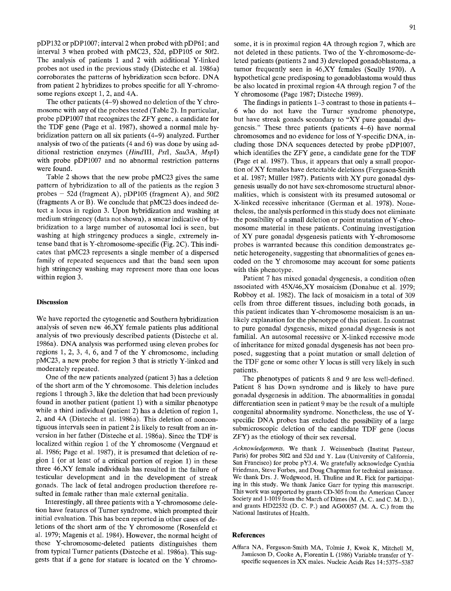pDP132 or pDP1007; interval 2 when probed with pDP61; and interval 3 when probed with pMC23, 52d, pDP105 or 50f2. The analysis of patients 1 and 2 with additional Y-linked probes not used in the previous study (Disteche et al. 1986a) corroborates the patterns of hybridization seen before. DNA from patient 2 hybridizes to probes specific for all Y-chromosome regions except 1, 2, and 4A.

The other patients (4-9) showed no deletion of the Y chromosome with any of the probes tested (Table 2). In particular, probe pDP1007 that recognizes the ZFY gene, a candidate for the TDF gene (Page et al. 1987), showed a normal male hybridization pattern on all six patients (4-9) analyzed. Further analysis of two of the patients (4 and 6) was done by using additional restriction enzymes *(HindIII, PstI, Sau3A, MspI)*  with probe pDP1007 and no abnormal restriction patterns were found.

Table 2 shows that the new probe pMC23 gives the same pattern of hybridization to all of the patients as the region 3 probes  $-52d$  (fragment A), pDP105 (fragment A), and 50f2 (fragments A or B). We conclude that pMC23 does indeed detect a locus in region 3. Upon hybridization and washing at medium stringency (data not shown), a smear indicative of hybridization to a large number of autosomal loci is seen, but washing at high stringency produces a single, extremely intense band that is Y-chromosome-specific (Fig. 2C). This indicates that pMC23 represents a single member of a dispersed family of repeated sequences and that the band seen upon high stringency washing may represent more than one locus within region 3.

# **Discussion**

We have reported the cytogenetic and Southern hybridization analysis of seven new 46,XY female patients plus additional analysis of two previously described patients (Disteche et al. 1986a). DNA analysis was performed using eleven probes for regions 1, 2, 3, 4, 6, and 7 of the Y chromosome, including pMC23, a new probe for region 3 that is strictly Y-linked and moderately repeated.

One of the new patients analyzed (patient 3) has a deletion of the short arm of the Y chromosome. This deletion includes regions 1 through 3, like the deletion that had been previously found in another patient (patient 1) with a similar phenotype while a third individual (patient 2) has a deletion of region 1, 2, and 4A (Disteche et al. 1986a). This deletion of noncontiguous intervals seen in patient 2 is likely to result from an inversion in her father (Disteche et al. 1986a). Since the TDF is localized within region 1 of the Y chromosome (Vergnaud et al. 1986; Page et al. 1987), it is presumed that deletion of region 1 (or at least of a critical portion of region 1) in these three 46,XY female individuals has resulted in the failure of testicular development and in the development of streak gonads. The lack of fetal androgen production therefore resulted in female rather than male external genitalia.

Interestingly, all three patients with a Y-chromosome deletion have features of Turner syndrome, which prompted their initial evaluation. This has been reported in other cases of deletions of the short arm of the Y chromosome (Rosenfeld et al. 1979; Magenis et al. 1984). However, the normal height of these Y-chromosome-deleted patients distinguishes them from typical Turner patients (Disteche et al. 1986a). This suggests that if a gene for stature is located on the Y chromosome, it is in proximal region 4A through region 7, which are not deleted in these patients. Two of the Y-chromosome-deleted patients (patients 2 and 3) developed gonadoblastoma, a tumor frequently seen in 46,XY females (Scully 1970). A hypothetical gene predisposing to gonadoblastoma would thus be also located in proximal region 4A through region 7 of the Y chromosome (Page 1987; Disteche 1989).

The findings in patients 1-3 contrast to those in patients 4- 6 who do not have the Turner syndrome phenotype, but have streak gonads secondary to "XY pure gonadal dysgenesis." These three patients (patients 4-6) have normal chromosomes and no evidence for loss of Y-specific DNA, including those DNA sequences detected by probe pDP1007, which identifies the ZFY gene, a candidate gene for the TDF (Page et al. 1987). Thus, it appears that only a small proportion of XY females have detectable deletions (Ferguson-Smith et al. 1987; Müller 1987). Patients with  $XY$  pure gonadal dysgenesis usually do not have sex-chromosome structural abnormalities, which is consistent with its presumed autosomal or X-linked recessive inheritance (German et al. 1978). Nonetheless, the analysis performed in this study does not eliminate the possibility of a small deletion or point mutation of Y-chromosome material in these patients. Continuing investigation of XY pure gonadal dysgenesis patients with Y-chromosome probes is warranted because this condition demonstrates genetic heterogeneity, suggesting that abnormalities of genes encoded on the Y chromosome may account for some patients with this phenotype.

Patient 7 has mixed gonadal dysgenesis, a condition often associated with 45X/46,XY mosaicism (Donahue et al. 1979; Robboy et al. 1982). The lack of mosaicism in a total of 309 cells from three different tissues, including both gonads, in this patient indicates than Y-chromosome mosaicism is an unlikely explanation for the phenotype of this patient. In contrast to pure gonadal dysgenesis, mixed gonadal dysgenesis is not familial. An autosomal recessive or X-linked recessive mode of inheritance for mixed gonadal dysgenesis has not been proposed, suggesting that a point mutation or small deletion of the TDF gene or some other Y locus is still very likely in such patients.

The phenotypes of patients 8 and 9 are less well-defined. Patient 8 has Down syndrome and is likely to have pure gonadal dysgenesis in addition. The abnormalities in gonadal differentiation seen in patient 9 may be the result of a multiple congenital abnormality syndrome. Nonetheless, the use of Yspecific DNA probes has excluded the possibility of a large submicroscopic deletion of the candidate TDF gene (locus ZFY) as the etiology of their sex reversal.

*Acknowledgements.* We thank J. Weissenbach (Institut Pasteur, Paris) for probes 50f2 and 52d and Y. Lau (University of California, San Francisco) for probe pY3.4. We gratefully acknowledge Cynthia Friedman, Steve Forbes, and Doug Chapman for technical assistance. We thank Drs. J. Wedgwood, H. Thuline and R. Fick for participating in this study. We thank Janice Garr for typing this manuscript. This work was supported by grants CD-305 from the American Cancer Society and 1-1019 from the March of Dimes (M. A. C. and C. M. D.), and grants HD22532 (D. C. P.) and AG00057 (M. A. C.) from the National Institutes of Health.

## **References**

Affara NA, Ferguson-Smith MA, Tolmie J, Kwok K, Mitchell M, Jamieson D, Cooke A, Florentin L (1986) Variable transfer of Yspecific sequences in XX males. Nucleic Acids Res 14: 5375-5387